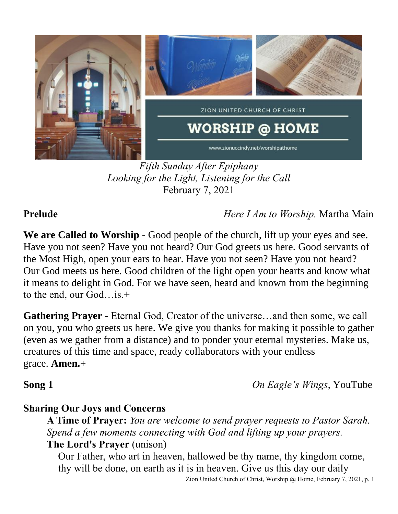

*Fifth Sunday After Epiphany Looking for the Light, Listening for the Call* February 7, 2021

**Prelude** *Here I Am to Worship,* Martha Main

**We are Called to Worship** - Good people of the church, lift up your eyes and see. Have you not seen? Have you not heard? Our God greets us here. Good servants of the Most High, open your ears to hear. Have you not seen? Have you not heard? Our God meets us here. Good children of the light open your hearts and know what it means to delight in God. For we have seen, heard and known from the beginning to the end, our God…is.+

**Gathering Prayer** - Eternal God, Creator of the universe…and then some, we call on you, you who greets us here. We give you thanks for making it possible to gather (even as we gather from a distance) and to ponder your eternal mysteries. Make us, creatures of this time and space, ready collaborators with your endless grace. **Amen.+**

**Song 1** *On Eagle's Wings,* YouTube

## **Sharing Our Joys and Concerns**

**A Time of Prayer:** *You are welcome to send prayer requests to Pastor Sarah. Spend a few moments connecting with God and lifting up your prayers.* **The Lord's Prayer** (unison)

Our Father, who art in heaven, hallowed be thy name, thy kingdom come, thy will be done, on earth as it is in heaven. Give us this day our daily

Zion United Church of Christ, Worship @ Home, February 7, 2021, p. 1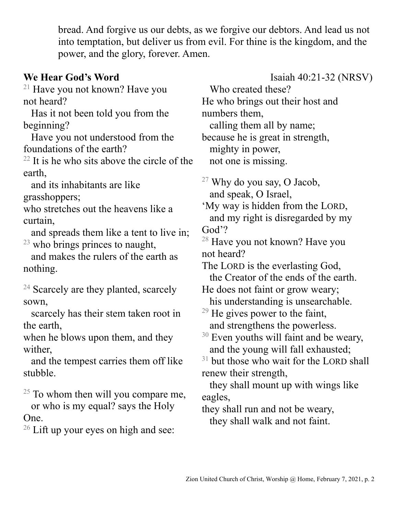bread. And forgive us our debts, as we forgive our debtors. And lead us not into temptation, but deliver us from evil. For thine is the kingdom, and the power, and the glory, forever. Amen.

 $21$  Have you not known? Have you not heard?

 Has it not been told you from the beginning?

 Have you not understood from the foundations of the earth?

 $22$  It is he who sits above the circle of the earth,

 and its inhabitants are like grasshoppers;

who stretches out the heavens like a curtain,

 and spreads them like a tent to live in;  $23$  who brings princes to naught,

 and makes the rulers of the earth as nothing.

 $24$  Scarcely are they planted, scarcely sown,

 scarcely has their stem taken root in the earth,

when he blows upon them, and they wither,

 and the tempest carries them off like stubble.

 $25$  To whom then will you compare me,

 or who is my equal? says the Holy One.

 $26$  Lift up your eyes on high and see:

**We Hear God's Word** Isaiah 40:21-32 (NRSV) Who created these? He who brings out their host and numbers them, calling them all by name; because he is great in strength, mighty in power, not one is missing.  $27$  Why do you say, O Jacob, and speak, O Israel,

> 'My way is hidden from the LORD, and my right is disregarded by my God'?

<sup>28</sup> Have you not known? Have you not heard?

The LORD is the everlasting God, the Creator of the ends of the earth.

He does not faint or grow weary; his understanding is unsearchable.

 $29$  He gives power to the faint, and strengthens the powerless.

 $31$  but those who wait for the LORD shall renew their strength,

 they shall mount up with wings like eagles,

they shall run and not be weary, they shall walk and not faint.

 $30$  Even youths will faint and be weary, and the young will fall exhausted;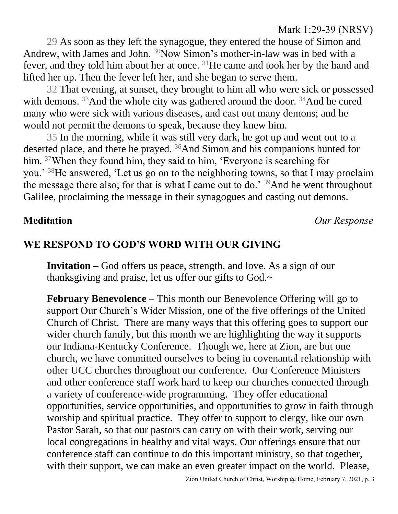### Mark 1:29-39 (NRSV)

29 As soon as they left the synagogue, they entered the house of Simon and Andrew, with James and John. <sup>30</sup>Now Simon's mother-in-law was in bed with a fever, and they told him about her at once. <sup>31</sup>He came and took her by the hand and lifted her up. Then the fever left her, and she began to serve them.

32 That evening, at sunset, they brought to him all who were sick or possessed with demons.  $33$ And the whole city was gathered around the door.  $34$ And he cured many who were sick with various diseases, and cast out many demons; and he would not permit the demons to speak, because they knew him.

35 In the morning, while it was still very dark, he got up and went out to a deserted place, and there he prayed. <sup>36</sup>And Simon and his companions hunted for him. <sup>37</sup>When they found him, they said to him, 'Everyone is searching for you.' <sup>38</sup>He answered, 'Let us go on to the neighboring towns, so that I may proclaim the message there also; for that is what I came out to do.'  $39$  And he went throughout Galilee, proclaiming the message in their synagogues and casting out demons.

**Meditation** *Our Response*

### **WE RESPOND TO GOD'S WORD WITH OUR GIVING**

**Invitation –** God offers us peace, strength, and love. As a sign of our thanksgiving and praise, let us offer our gifts to God.~

**February Benevolence** – This month our Benevolence Offering will go to support Our Church's Wider Mission, one of the five offerings of the United Church of Christ. There are many ways that this offering goes to support our wider church family, but this month we are highlighting the way it supports our Indiana-Kentucky Conference. Though we, here at Zion, are but one church, we have committed ourselves to being in covenantal relationship with other UCC churches throughout our conference. Our Conference Ministers and other conference staff work hard to keep our churches connected through a variety of conference-wide programming. They offer educational opportunities, service opportunities, and opportunities to grow in faith through worship and spiritual practice. They offer to support to clergy, like our own Pastor Sarah, so that our pastors can carry on with their work, serving our local congregations in healthy and vital ways. Our offerings ensure that our conference staff can continue to do this important ministry, so that together, with their support, we can make an even greater impact on the world. Please,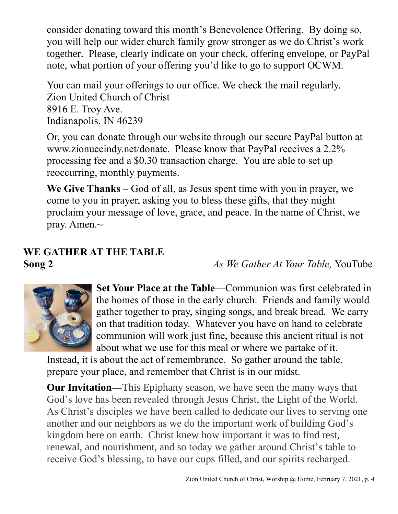consider donating toward this month's Benevolence Offering. By doing so, you will help our wider church family grow stronger as we do Christ's work together. Please, clearly indicate on your check, offering envelope, or PayPal note, what portion of your offering you'd like to go to support OCWM.

You can mail your offerings to our office. We check the mail regularly. Zion United Church of Christ 8916 E. Troy Ave. Indianapolis, IN 46239

Or, you can donate through our website through our secure PayPal button at www.zionuccindy.net/donate. Please know that PayPal receives a 2.2% processing fee and a \$0.30 transaction charge. You are able to set up reoccurring, monthly payments.

**We Give Thanks** – God of all, as Jesus spent time with you in prayer, we come to you in prayer, asking you to bless these gifts, that they might proclaim your message of love, grace, and peace. In the name of Christ, we pray. Amen.~

# **WE GATHER AT THE TABLE**

**Song 2** *As We Gather At Your Table,* YouTube



**Set Your Place at the Table**—Communion was first celebrated in the homes of those in the early church. Friends and family would gather together to pray, singing songs, and break bread. We carry on that tradition today. Whatever you have on hand to celebrate communion will work just fine, because this ancient ritual is not about what we use for this meal or where we partake of it.

Instead, it is about the act of remembrance. So gather around the table, prepare your place, and remember that Christ is in our midst.

**Our Invitation—**This Epiphany season, we have seen the many ways that God's love has been revealed through Jesus Christ, the Light of the World. As Christ's disciples we have been called to dedicate our lives to serving one another and our neighbors as we do the important work of building God's kingdom here on earth. Christ knew how important it was to find rest, renewal, and nourishment, and so today we gather around Christ's table to receive God's blessing, to have our cups filled, and our spirits recharged.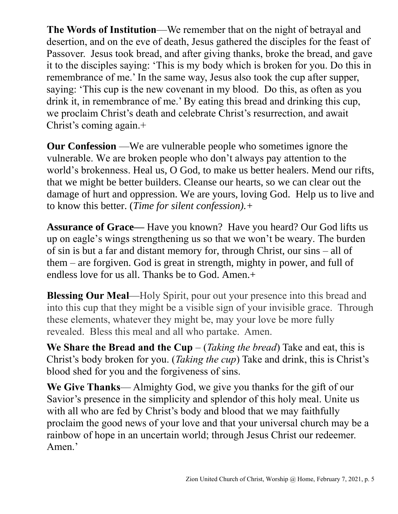**The Words of Institution**—We remember that on the night of betrayal and desertion, and on the eve of death, Jesus gathered the disciples for the feast of Passover. Jesus took bread, and after giving thanks, broke the bread, and gave it to the disciples saying: 'This is my body which is broken for you. Do this in remembrance of me.' In the same way, Jesus also took the cup after supper, saying: 'This cup is the new covenant in my blood. Do this, as often as you drink it, in remembrance of me.' By eating this bread and drinking this cup, we proclaim Christ's death and celebrate Christ's resurrection, and await Christ's coming again.+

**Our Confession** —We are vulnerable people who sometimes ignore the vulnerable. We are broken people who don't always pay attention to the world's brokenness. Heal us, O God, to make us better healers. Mend our rifts, that we might be better builders. Cleanse our hearts, so we can clear out the damage of hurt and oppression. We are yours, loving God. Help us to live and to know this better. (*Time for silent confession).+*

**Assurance of Grace—** Have you known? Have you heard? Our God lifts us up on eagle's wings strengthening us so that we won't be weary. The burden of sin is but a far and distant memory for, through Christ, our sins – all of them – are forgiven. God is great in strength, mighty in power, and full of endless love for us all. Thanks be to God. Amen.+

**Blessing Our Meal**—Holy Spirit, pour out your presence into this bread and into this cup that they might be a visible sign of your invisible grace. Through these elements, whatever they might be, may your love be more fully revealed. Bless this meal and all who partake. Amen.

**We Share the Bread and the Cup** – (*Taking the bread*) Take and eat, this is Christ's body broken for you. (*Taking the cup*) Take and drink, this is Christ's blood shed for you and the forgiveness of sins.

**We Give Thanks**— Almighty God, we give you thanks for the gift of our Savior's presence in the simplicity and splendor of this holy meal. Unite us with all who are fed by Christ's body and blood that we may faithfully proclaim the good news of your love and that your universal church may be a rainbow of hope in an uncertain world; through Jesus Christ our redeemer. Amen.'